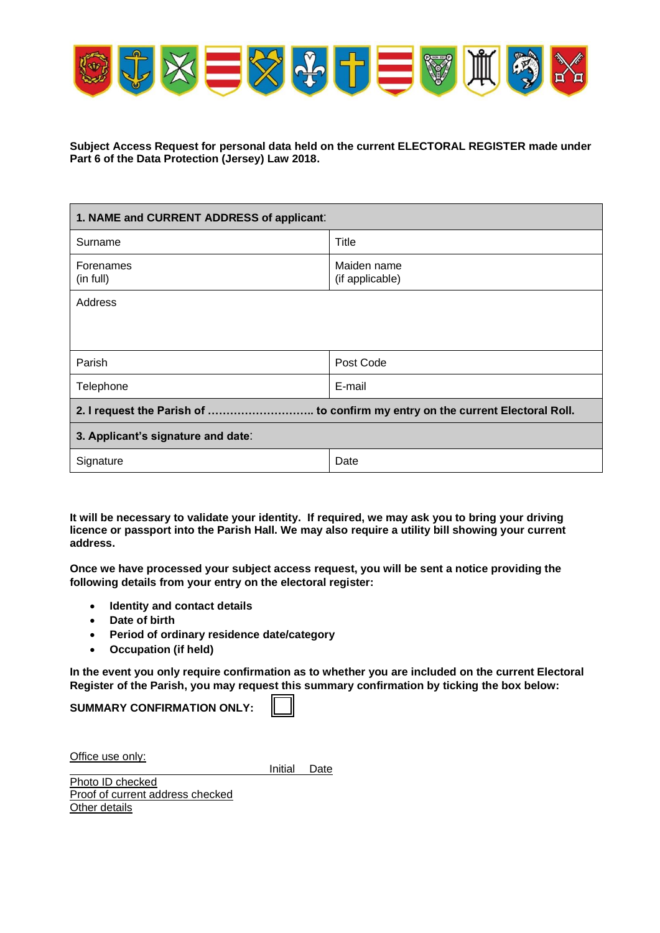

**Subject Access Request for personal data held on the current ELECTORAL REGISTER made under Part 6 of the Data Protection (Jersey) Law 2018.**

| 1. NAME and CURRENT ADDRESS of applicant:                                        |                                |  |
|----------------------------------------------------------------------------------|--------------------------------|--|
| Surname                                                                          | Title                          |  |
| Forenames<br>(in full)                                                           | Maiden name<br>(if applicable) |  |
| Address                                                                          |                                |  |
|                                                                                  |                                |  |
| Parish                                                                           | Post Code                      |  |
| Telephone                                                                        | E-mail                         |  |
| 2. I request the Parish of<br>to confirm my entry on the current Electoral Roll. |                                |  |
| 3. Applicant's signature and date:                                               |                                |  |
| Signature                                                                        | Date                           |  |

**It will be necessary to validate your identity. If required, we may ask you to bring your driving licence or passport into the Parish Hall. We may also require a utility bill showing your current address.** 

**Once we have processed your subject access request, you will be sent a notice providing the following details from your entry on the electoral register:** 

- **Identity and contact details**
- **Date of birth**
- **Period of ordinary residence date/category**
- **Occupation (if held)**

**In the event you only require confirmation as to whether you are included on the current Electoral Register of the Parish, you may request this summary confirmation by ticking the box below:**

**SUMMARY CONFIRMATION ONLY:**

Office use only:

Initial Date

Photo ID checked Proof of current address checked Other details